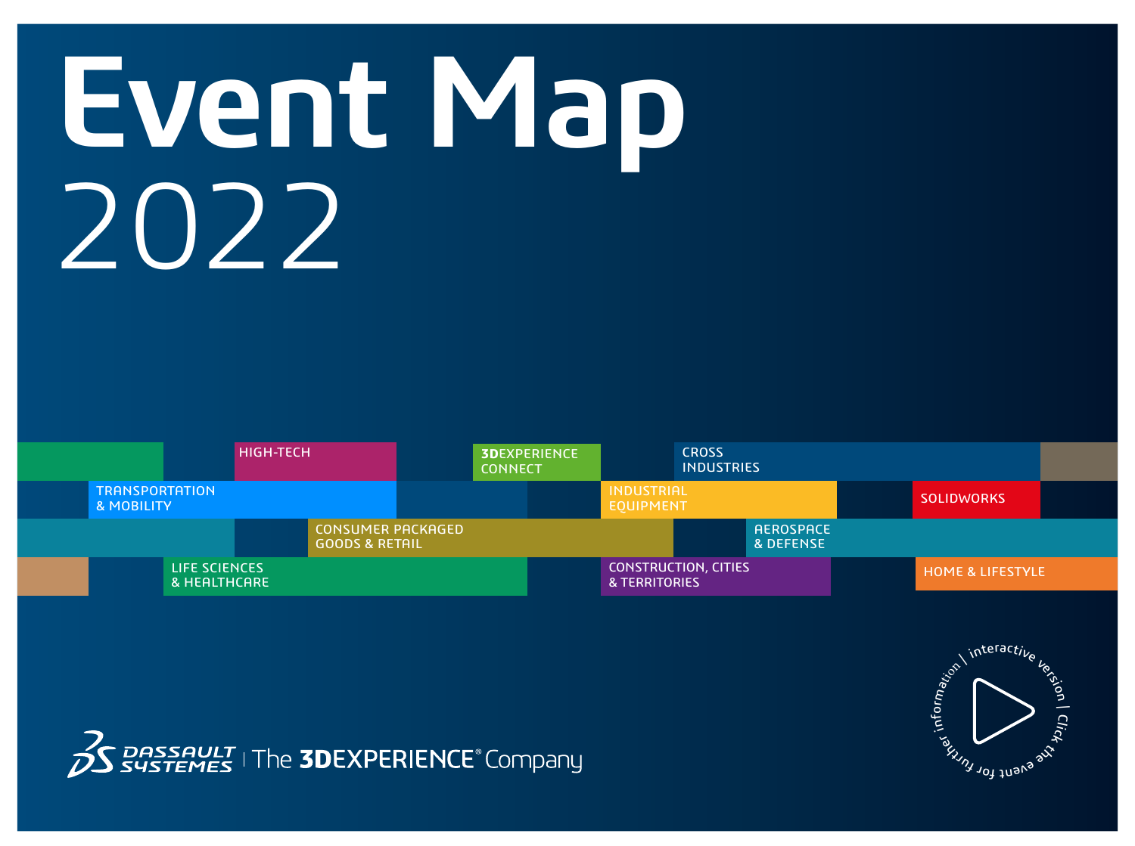## **Event Map** 2022





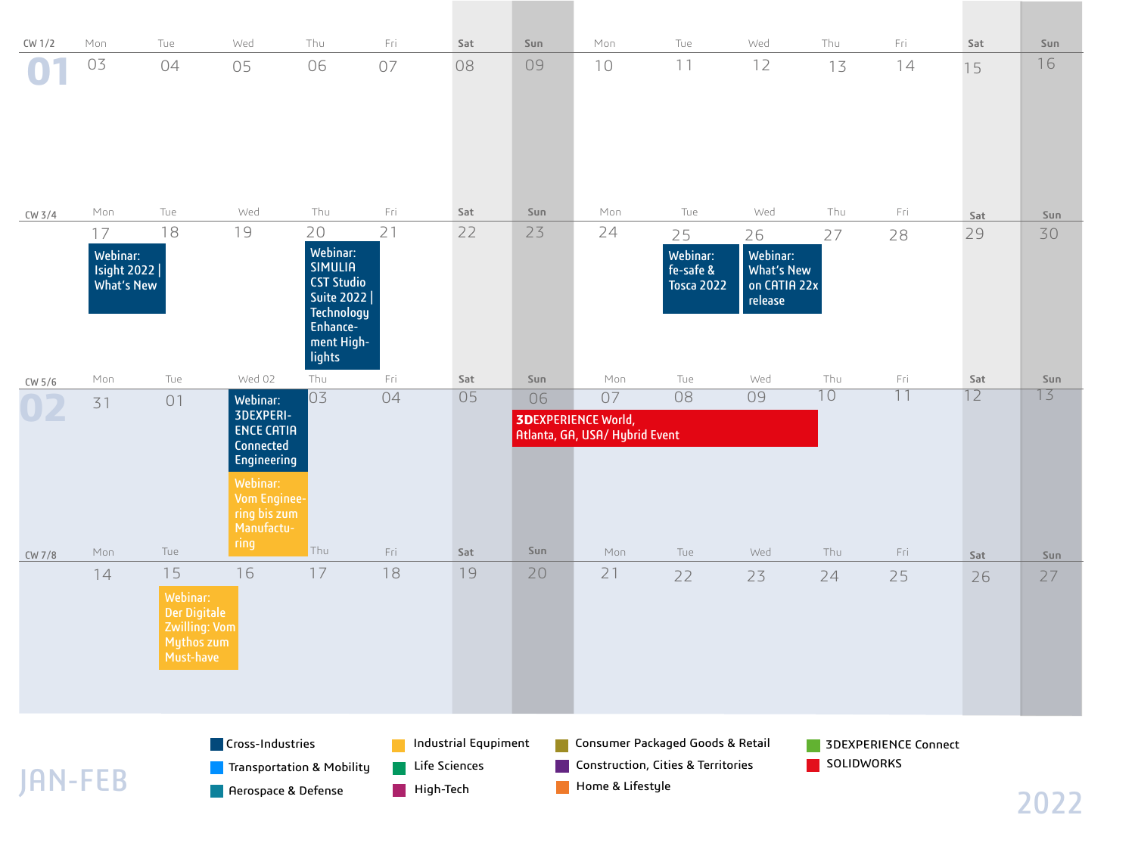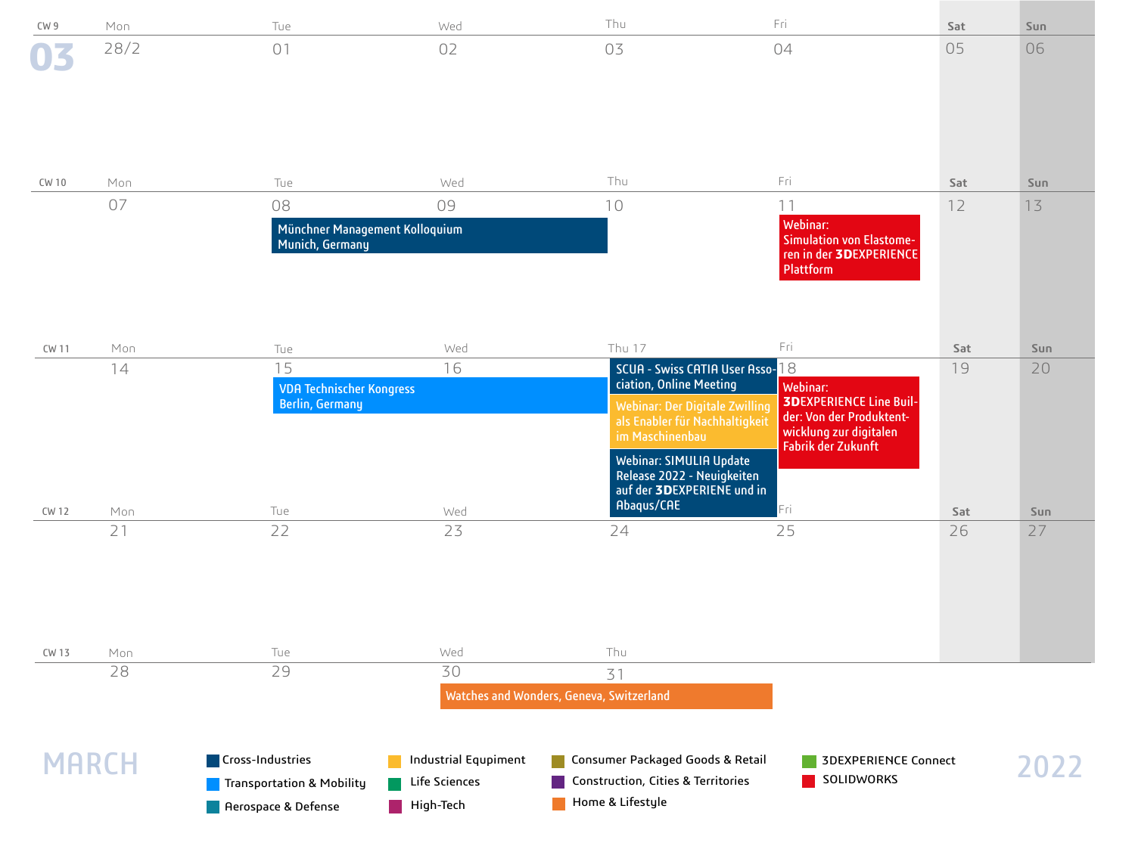| CW 9         | Mon  | Tue                                                                           | Wed                                                       | Thu                                                                                                                                                                                                                                                    | Fri                                                                                                                           | Sat | Sun  |
|--------------|------|-------------------------------------------------------------------------------|-----------------------------------------------------------|--------------------------------------------------------------------------------------------------------------------------------------------------------------------------------------------------------------------------------------------------------|-------------------------------------------------------------------------------------------------------------------------------|-----|------|
|              | 28/2 | 01                                                                            | 02                                                        | 03                                                                                                                                                                                                                                                     | 04                                                                                                                            | 05  | 06   |
| CW 10        | Mon  | Tue                                                                           | Wed                                                       | Thu                                                                                                                                                                                                                                                    | Fri                                                                                                                           | Sat | Sun  |
|              | 07   | 08                                                                            | 09                                                        | 10                                                                                                                                                                                                                                                     | 11                                                                                                                            | 12  | 13   |
|              |      | Münchner Management Kolloquium<br>Munich, Germany                             |                                                           |                                                                                                                                                                                                                                                        | Webinar:<br><b>Simulation von Elastome-</b><br>ren in der 3DEXPERIENCE<br>Plattform                                           |     |      |
| <b>CW 11</b> | Mon  | Tue                                                                           | Wed                                                       | Thu 17                                                                                                                                                                                                                                                 | Fri                                                                                                                           | Sat | Sun  |
|              | 14   | 15<br><b>VDA Technischer Kongress</b><br><b>Berlin, Germany</b>               | 16                                                        | SCUA - Swiss CATIA User Asso-18<br>ciation, Online Meeting<br><b>Webinar: Der Digitale Zwilling</b><br>als Enabler für Nachhaltigkeit<br>im Maschinenbau<br><b>Webinar: SIMULIA Update</b><br>Release 2022 - Neuigkeiten<br>auf der 3DEXPERIENE und in | Webinar:<br><b>3DEXPERIENCE Line Buil-</b><br>der: Von der Produktent-<br>wicklung zur digitalen<br><b>Fabrik der Zukunft</b> | 19  | 20   |
| <b>CW 12</b> | Mon  | Tue                                                                           | Wed                                                       | Abaqus/CAE                                                                                                                                                                                                                                             | Fri                                                                                                                           | Sat | Sun  |
|              | 21   | 22                                                                            | 23                                                        | 24                                                                                                                                                                                                                                                     | 25                                                                                                                            | 26  | 27   |
| CW 13        | Mon  | Tue                                                                           | Wed                                                       | Thu                                                                                                                                                                                                                                                    |                                                                                                                               |     |      |
|              | 28   | 29                                                                            | 30                                                        | 31<br>Watches and Wonders, Geneva, Switzerland                                                                                                                                                                                                         |                                                                                                                               |     |      |
| <b>MARCH</b> |      | Cross-Industries<br>Transportation & Mobility<br><b>A</b> Aerospace & Defense | <b>Industrial Equpiment</b><br>Life Sciences<br>High-Tech | Consumer Packaged Goods & Retail<br>Construction, Cities & Territories<br>Home & Lifestyle                                                                                                                                                             | <b>3DEXPERIENCE Connect</b><br>SOLIDWORKS                                                                                     |     | 2022 |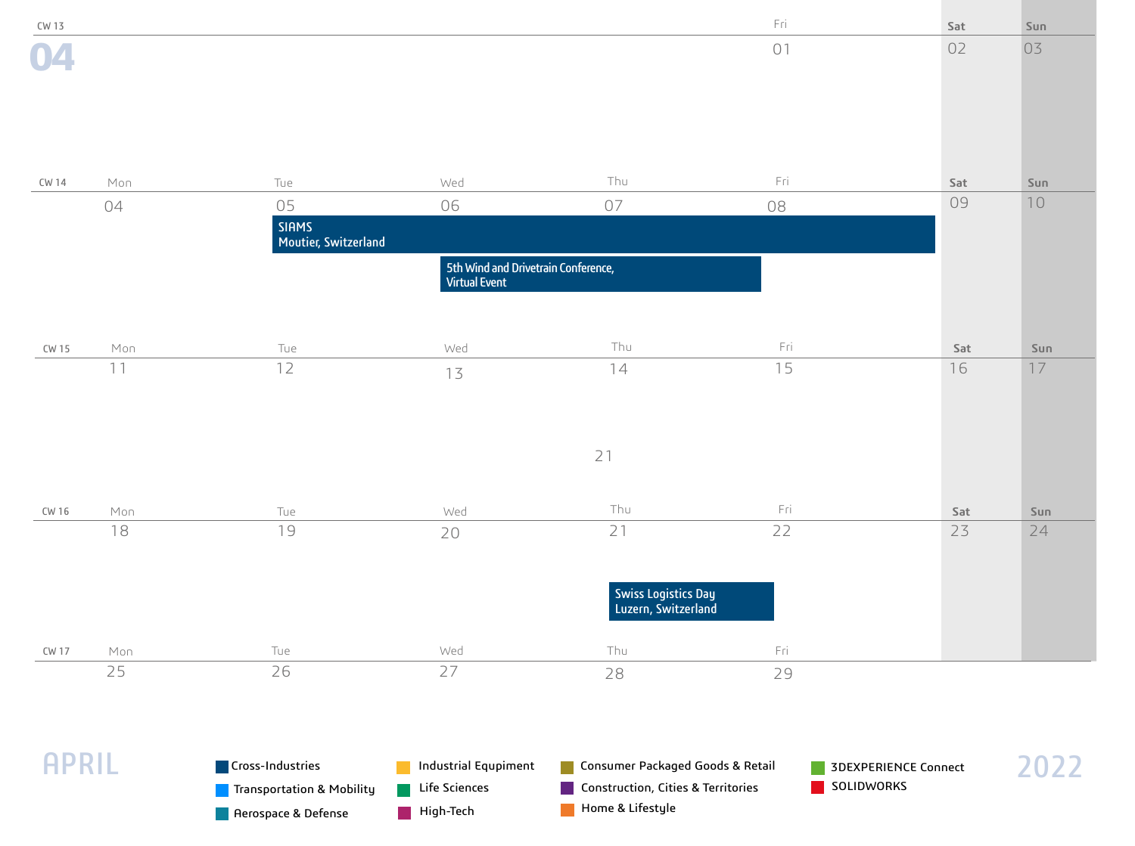| CW 13        |     |                                      |                                                             |                                            | Fri | Sat                  | Sun  |
|--------------|-----|--------------------------------------|-------------------------------------------------------------|--------------------------------------------|-----|----------------------|------|
|              |     |                                      |                                                             |                                            | 01  | 02                   | 03   |
|              |     |                                      |                                                             |                                            |     |                      |      |
|              |     |                                      |                                                             |                                            |     |                      |      |
|              |     |                                      |                                                             |                                            |     |                      |      |
| CW 14        | Mon | Tue                                  | Wed                                                         | Thu                                        | Fri | Sat                  | Sun  |
|              | 04  | 05                                   | 06                                                          | 07                                         | 08  | 09                   | $10$ |
|              |     | <b>SIAMS</b><br>Moutier, Switzerland |                                                             |                                            |     |                      |      |
|              |     |                                      | 5th Wind and Drivetrain Conference,<br><b>Virtual Event</b> |                                            |     |                      |      |
|              |     |                                      |                                                             |                                            |     |                      |      |
| CW 15        | Mon | Tue                                  | Wed                                                         | Thu                                        | Fri | Sat                  | Sun  |
|              | 11  | 12                                   | 13                                                          | 14                                         | 15  | 16                   | 17   |
|              |     |                                      |                                                             |                                            |     |                      |      |
|              |     |                                      |                                                             |                                            |     |                      |      |
|              |     |                                      |                                                             | 21                                         |     |                      |      |
| CW 16        | Mon | Tue                                  | Wed                                                         | Thu                                        | Fri | Sat                  | Sun  |
|              | 18  | 19                                   | 20                                                          | 21                                         | 22  | 23                   | 24   |
|              |     |                                      |                                                             |                                            |     |                      |      |
|              |     |                                      |                                                             | Swiss Logistics Day<br>Luzern, Switzerland |     |                      |      |
|              |     |                                      |                                                             |                                            |     |                      |      |
| <b>CW 17</b> | Mon | Tue                                  | Wed                                                         | Thu                                        | Fri |                      |      |
|              | 25  | 26                                   | 27                                                          | 28                                         | 29  |                      |      |
|              |     |                                      |                                                             |                                            |     |                      |      |
| <b>APRIL</b> |     | Cross-Industries                     | Industrial Equpiment                                        | Consumer Packaged Goods & Retail           |     | 3DEXPERIENCE Connect | 2022 |
|              |     | <b>Transportation &amp; Mobility</b> | Life Sciences                                               | Construction, Cities & Territories         |     | SOLIDWORKS           |      |
|              |     | <b>Aerospace &amp; Defense</b>       | High-Tech                                                   | Home & Lifestyle                           |     |                      |      |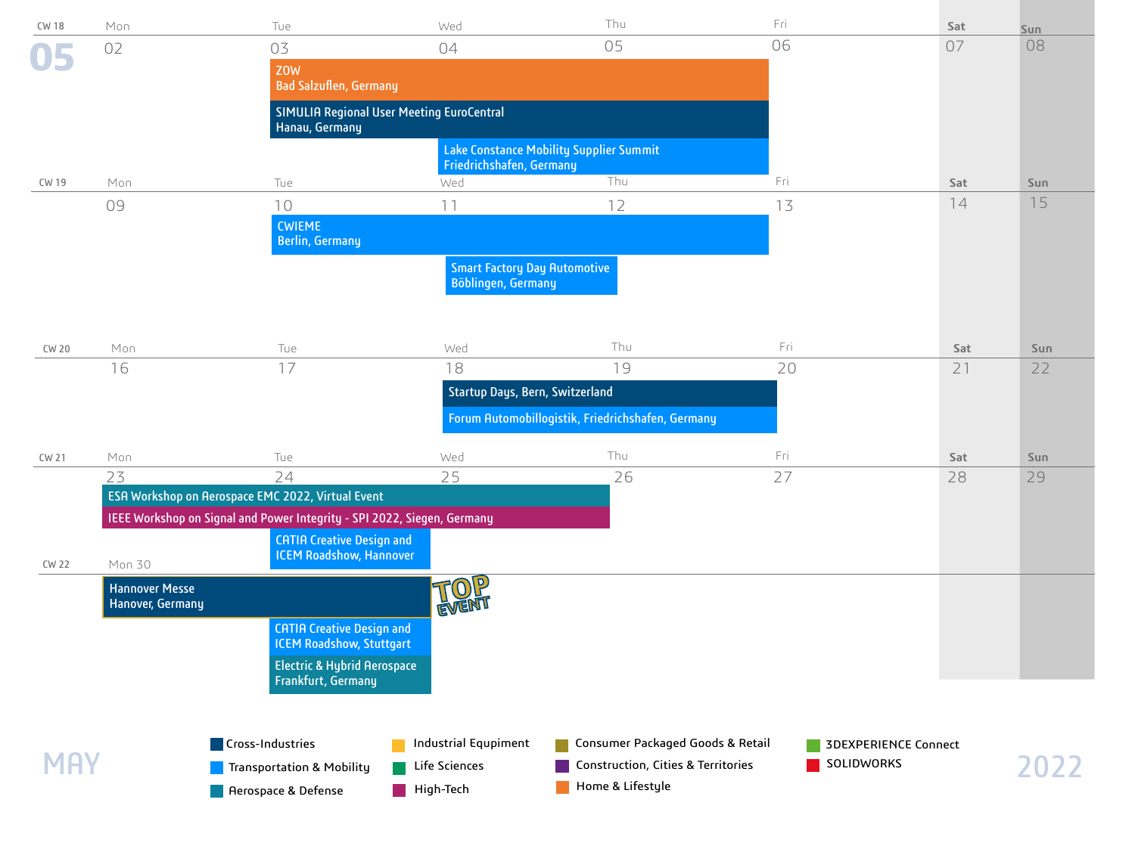| <b>CW 18</b> | Mon                                       | Tue                                                                     | Wed                                                       | Thu                                               | Fri        | Sat                         | Sun  |
|--------------|-------------------------------------------|-------------------------------------------------------------------------|-----------------------------------------------------------|---------------------------------------------------|------------|-----------------------------|------|
| 05           | 02                                        | 03                                                                      | 04                                                        | 05                                                | 06         | 07                          | 08   |
|              |                                           | <b>ZOW</b>                                                              |                                                           |                                                   |            |                             |      |
|              |                                           | <b>Bad Salzuflen, Germany</b>                                           |                                                           |                                                   |            |                             |      |
|              |                                           | SIMULIA Regional User Meeting EuroCentral<br>Hanau, Germany             |                                                           |                                                   |            |                             |      |
|              |                                           |                                                                         | Friedrichshafen, Germany                                  | <b>Lake Constance Mobility Supplier Summit</b>    |            |                             |      |
| CW 19        | Mon                                       | Tue                                                                     | Wed                                                       | Thu                                               | Fri        | Sat                         | Sun  |
|              | 09                                        | 10                                                                      | 11                                                        | 12                                                | 13         | 14                          | 15   |
|              |                                           | <b>CWIEME</b><br><b>Berlin, Germany</b>                                 |                                                           |                                                   |            |                             |      |
|              |                                           |                                                                         | <b>Smart Factory Day Automotive</b><br>Böblingen, Germany |                                                   |            |                             |      |
|              |                                           |                                                                         |                                                           |                                                   |            |                             |      |
| CW 20        | Mon                                       | Tue                                                                     | Wed                                                       | Thu                                               | Fri        | Sat                         | Sun  |
|              | 16                                        | 17                                                                      | 18                                                        | 19                                                | 20         | 21                          | 22   |
|              |                                           |                                                                         | Startup Days, Bern, Switzerland                           |                                                   |            |                             |      |
|              |                                           |                                                                         |                                                           | Forum Automobillogistik, Friedrichshafen, Germany |            |                             |      |
| CW 21        | Mon                                       | Tue                                                                     | Wed                                                       | Thu                                               | Fri        | Sat                         | Sun  |
|              | 23                                        | 24                                                                      | 25                                                        | 26                                                | 27         | 28                          | 29   |
|              |                                           | ESA Workshop on Aerospace EMC 2022, Virtual Event                       |                                                           |                                                   |            |                             |      |
|              |                                           | IEEE Workshop on Signal and Power Integrity - SPI 2022, Siegen, Germany |                                                           |                                                   |            |                             |      |
|              |                                           | <b>CATIA Creative Design and</b><br><b>ICEM Roadshow, Hannover</b>      |                                                           |                                                   |            |                             |      |
| <b>CW 22</b> | Mon 30                                    |                                                                         |                                                           |                                                   |            |                             |      |
|              | <b>Hannover Messe</b><br>Hanover, Germany |                                                                         | FOP                                                       |                                                   |            |                             |      |
|              |                                           |                                                                         | EVEN                                                      |                                                   |            |                             |      |
|              |                                           | <b>CATIA Creative Design and</b><br><b>ICEM Roadshow, Stuttgart</b>     |                                                           |                                                   |            |                             |      |
|              |                                           | <b>Electric &amp; Hybrid Aerospace</b>                                  |                                                           |                                                   |            |                             |      |
|              |                                           | Frankfurt, Germany                                                      |                                                           |                                                   |            |                             |      |
|              |                                           |                                                                         |                                                           |                                                   |            |                             |      |
|              |                                           | Cross-Industries                                                        | Industrial Equpiment                                      | Consumer Packaged Goods & Retail                  |            | <b>3DEXPERIENCE Connect</b> |      |
| <b>MAY</b>   |                                           | Transportation & Mobility                                               | Life Sciences                                             | Construction, Cities & Territories                | SOLIDWORKS |                             | 2022 |
|              |                                           | <b>A</b> Aerospace & Defense                                            | High-Tech                                                 | Home & Lifestyle                                  |            |                             |      |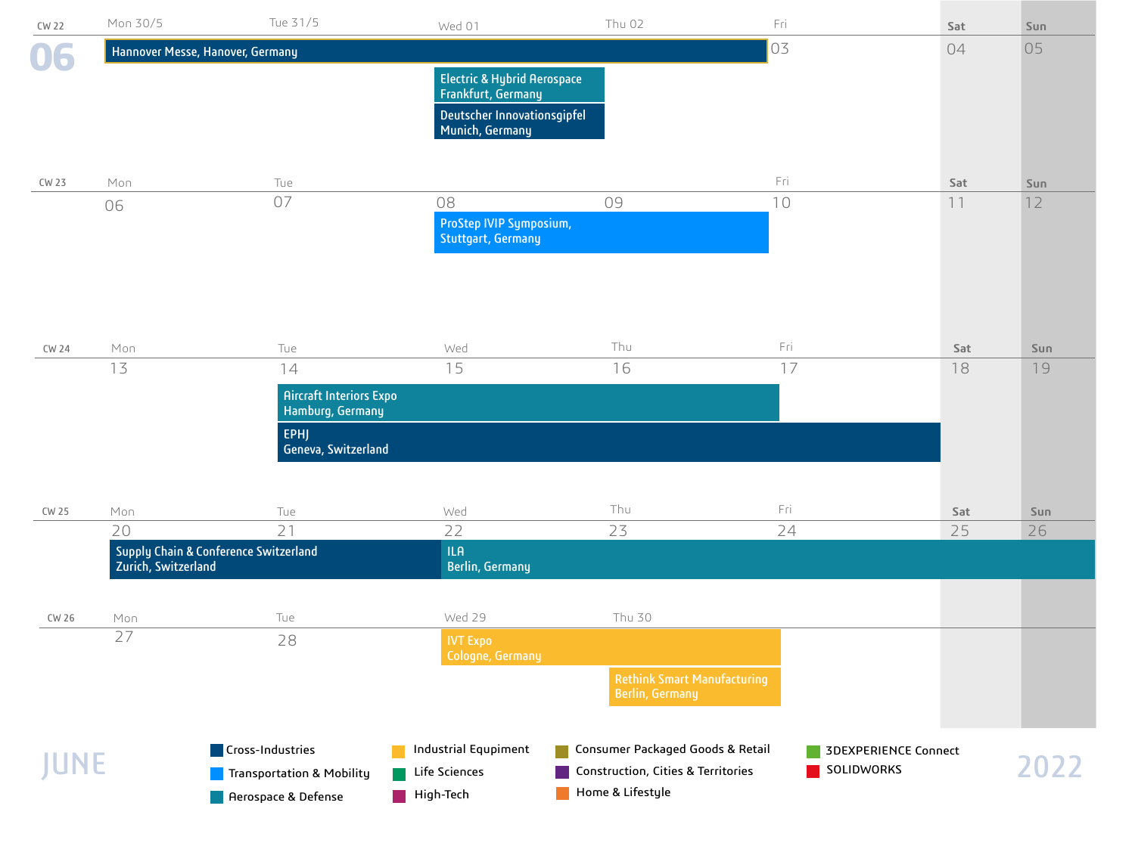| <b>CW 22</b> | Mon 30/5            | Tue 31/5                              | Wed 01                                         | Thu 02                                                                 | Fri        | Sat                  | Sun  |
|--------------|---------------------|---------------------------------------|------------------------------------------------|------------------------------------------------------------------------|------------|----------------------|------|
| 06           |                     | Hannover Messe, Hanover, Germany      |                                                |                                                                        | 03         | 04                   | 05   |
|              |                     |                                       | <b>Electric &amp; Hybrid Aerospace</b>         |                                                                        |            |                      |      |
|              |                     |                                       | Frankfurt, Germany                             |                                                                        |            |                      |      |
|              |                     |                                       | Deutscher Innovationsgipfel<br>Munich, Germany |                                                                        |            |                      |      |
|              |                     |                                       |                                                |                                                                        |            |                      |      |
| CW 23        | Mon                 | Tue                                   |                                                |                                                                        | Fri        | Sat                  | Sun  |
|              | 06                  | 07                                    | 08                                             | 09                                                                     | 10         | 11                   | 12   |
|              |                     |                                       | ProStep IVIP Symposium,                        |                                                                        |            |                      |      |
|              |                     |                                       | <b>Stuttgart, Germany</b>                      |                                                                        |            |                      |      |
|              |                     |                                       |                                                |                                                                        |            |                      |      |
|              |                     |                                       |                                                |                                                                        |            |                      |      |
|              |                     |                                       |                                                |                                                                        |            |                      |      |
| <b>CW 24</b> | Mon                 | Tue                                   | Wed                                            | Thu                                                                    | Fri        | Sat                  | Sun  |
|              | 13                  | 14                                    | 15                                             | 16                                                                     | 17         | 18                   | 19   |
|              |                     | <b>Aircraft Interiors Expo</b>        |                                                |                                                                        |            |                      |      |
|              |                     | Hamburg, Germany                      |                                                |                                                                        |            |                      |      |
|              |                     | <b>EPHJ</b><br>Geneva, Switzerland    |                                                |                                                                        |            |                      |      |
|              |                     |                                       |                                                |                                                                        |            |                      |      |
|              |                     |                                       |                                                |                                                                        |            |                      |      |
| CW 25        | Mon                 | Tue                                   | Wed                                            | Thu                                                                    | Fri        | Sat                  | Sun  |
|              | 20                  | 21                                    | 22<br><b>ILA</b>                               | 23                                                                     | 24         | 25                   | 26   |
|              | Zurich, Switzerland | Supply Chain & Conference Switzerland | <b>Berlin, Germany</b>                         |                                                                        |            |                      |      |
|              |                     |                                       |                                                |                                                                        |            |                      |      |
| CW 26        | Mon                 | Tue                                   | Wed 29                                         | Thu 30                                                                 |            |                      |      |
|              | 27                  | 28                                    | <b>IVT Expo</b>                                |                                                                        |            |                      |      |
|              |                     |                                       | Cologne, Germany                               |                                                                        |            |                      |      |
|              |                     |                                       |                                                | <b>Rethink Smart Manufacturing</b><br><b>Berlin, Germany</b>           |            |                      |      |
|              |                     |                                       |                                                |                                                                        |            |                      |      |
|              |                     |                                       |                                                |                                                                        |            |                      |      |
| JUNE         |                     | Cross-Industries                      | Industrial Equpiment<br>Life Sciences          | Consumer Packaged Goods & Retail<br>Construction, Cities & Territories | SOLIDWORKS | 3DEXPERIENCE Connect | 2022 |
|              |                     | Transportation & Mobility             | High-Tech                                      | Home & Lifestyle                                                       |            |                      |      |
|              |                     | Aerospace & Defense                   |                                                |                                                                        |            |                      |      |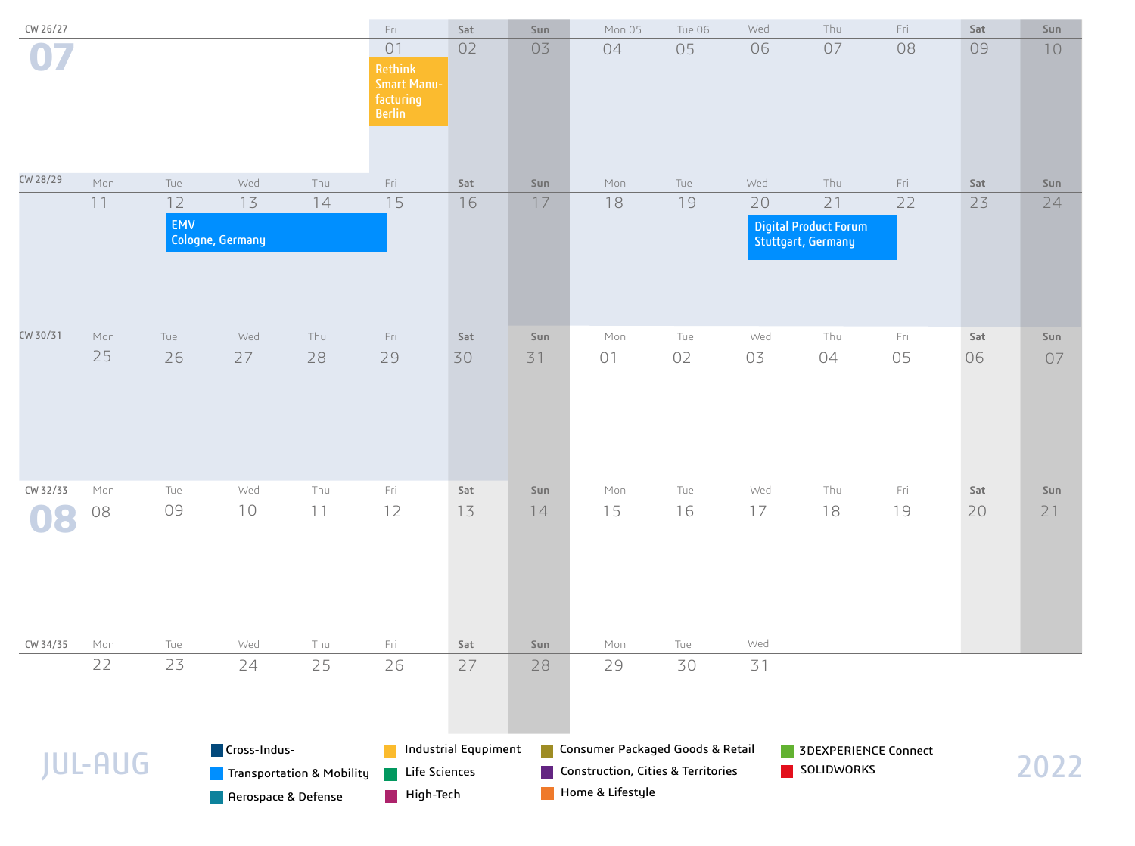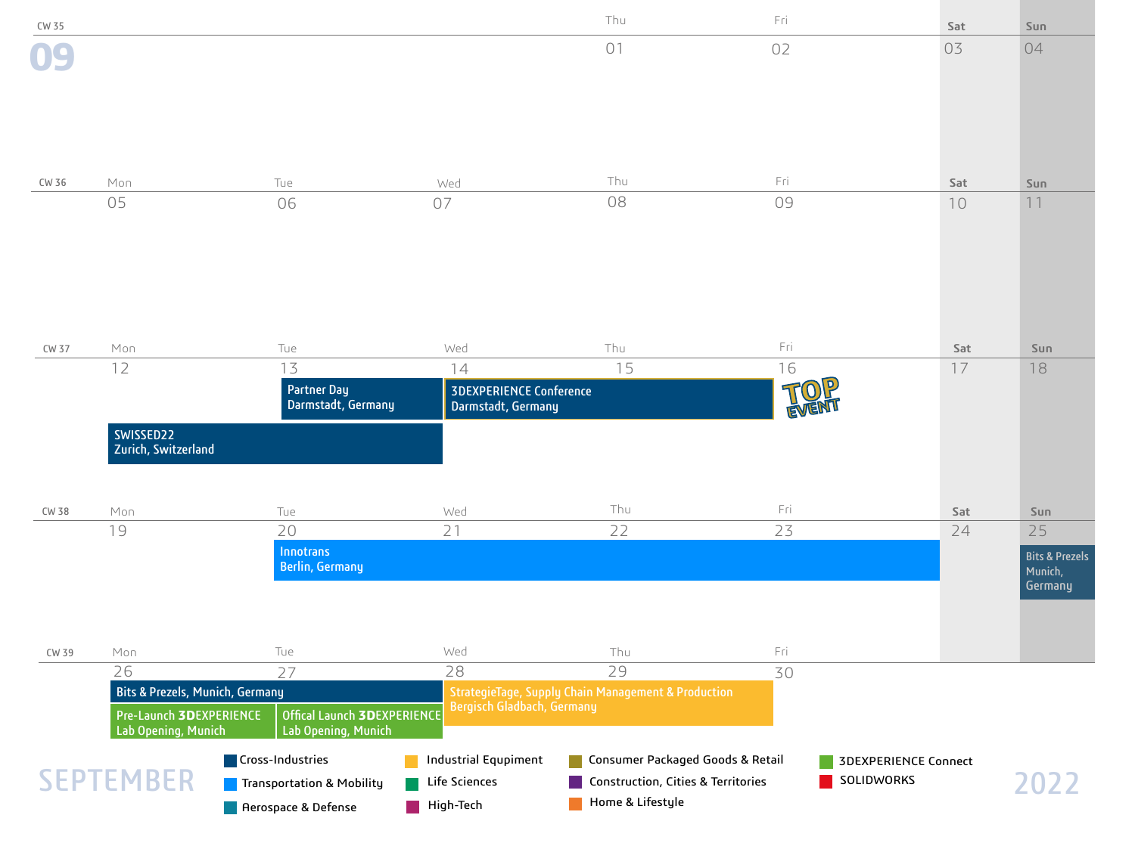| CW 35        |                                                                       |                                            |                                | Thu                                                            | Fri       | Sat                         | Sun                       |
|--------------|-----------------------------------------------------------------------|--------------------------------------------|--------------------------------|----------------------------------------------------------------|-----------|-----------------------------|---------------------------|
|              |                                                                       |                                            |                                | 01                                                             | 02        | 03                          | 04                        |
|              |                                                                       |                                            |                                |                                                                |           |                             |                           |
|              |                                                                       |                                            |                                |                                                                |           |                             |                           |
|              |                                                                       |                                            |                                |                                                                |           |                             |                           |
|              |                                                                       |                                            |                                |                                                                |           |                             |                           |
| CW 36        | Mon<br>05                                                             | Tue                                        | Wed<br>07                      | Thu<br>08                                                      | Fri<br>09 | Sat                         | Sun<br>11                 |
|              |                                                                       | 06                                         |                                |                                                                |           | 10                          |                           |
|              |                                                                       |                                            |                                |                                                                |           |                             |                           |
|              |                                                                       |                                            |                                |                                                                |           |                             |                           |
|              |                                                                       |                                            |                                |                                                                |           |                             |                           |
|              |                                                                       |                                            |                                |                                                                |           |                             |                           |
|              |                                                                       |                                            |                                |                                                                |           |                             |                           |
| CW 37        | Mon<br>12                                                             | Tue<br>13                                  | Wed<br>14                      | Thu<br>15                                                      | Fri<br>16 | Sat<br>17                   | Sun<br>18                 |
|              |                                                                       | <b>Partner Day</b>                         | <b>3DEXPERIENCE Conference</b> |                                                                |           |                             |                           |
|              |                                                                       | Darmstadt, Germany                         | Darmstadt, Germany             |                                                                | EVENT     |                             |                           |
|              | SWISSED22                                                             |                                            |                                |                                                                |           |                             |                           |
|              | Zurich, Switzerland                                                   |                                            |                                |                                                                |           |                             |                           |
|              |                                                                       |                                            |                                |                                                                |           |                             |                           |
| <b>CW 38</b> | Mon                                                                   | Tue                                        | Wed                            | Thu                                                            | Fri       | Sat                         | Sun                       |
|              | 19                                                                    | 20                                         | 21                             | 22                                                             | 23        | 24                          | 25                        |
|              |                                                                       | <b>Innotrans</b><br><b>Berlin, Germany</b> |                                |                                                                |           |                             | <b>Bits &amp; Prezels</b> |
|              |                                                                       |                                            |                                |                                                                |           |                             | Munich,<br>Germany        |
|              |                                                                       |                                            |                                |                                                                |           |                             |                           |
|              |                                                                       |                                            |                                |                                                                |           |                             |                           |
| CW 39        | Mon                                                                   | Tue                                        | Wed                            | Thu                                                            | Fri       |                             |                           |
|              | 26                                                                    | 27                                         | 28                             | 29                                                             | 30        |                             |                           |
|              | <b>Bits &amp; Prezels, Munich, Germany</b><br>Pre-Launch 3DEXPERIENCE | Offical Launch 3DEXPERIENCE                | Bergisch Gladbach, Germany     | <b>StrategieTage, Supply Chain Management &amp; Production</b> |           |                             |                           |
|              | Lab Opening, Munich                                                   | Lab Opening, Munich                        |                                |                                                                |           |                             |                           |
|              |                                                                       | Cross-Industries                           | <b>Industrial Equpiment</b>    | Consumer Packaged Goods & Retail                               |           | <b>3DEXPERIENCE Connect</b> |                           |
|              | <b>SEPTEMBER</b>                                                      | Transportation & Mobility                  | Life Sciences                  | Construction, Cities & Territories                             |           | SOLIDWORKS                  | 2022                      |
|              |                                                                       | <b>Aerospace &amp; Defense</b>             | $\blacksquare$ High-Tech       | Home & Lifestyle                                               |           |                             |                           |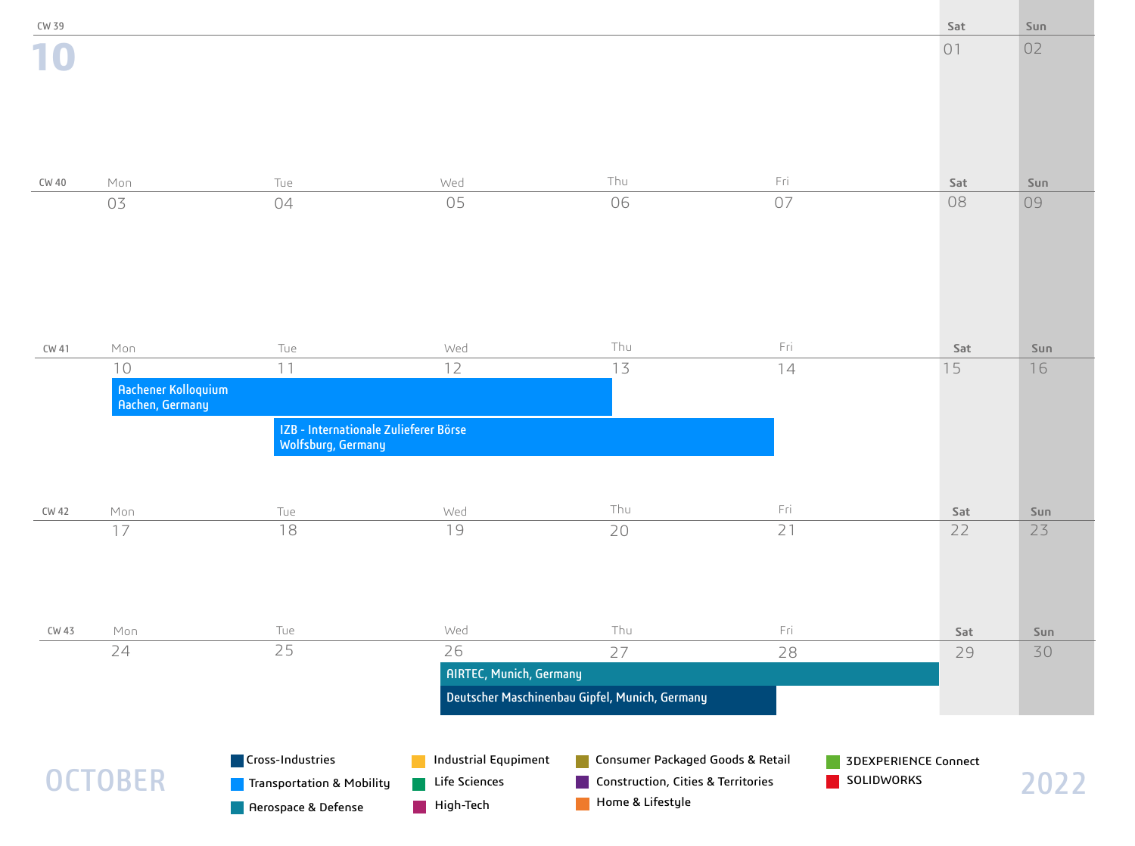| CW 39 |                                                            |                                                                               |                                                           |                                                                                            |            | Sat                  | Sun  |
|-------|------------------------------------------------------------|-------------------------------------------------------------------------------|-----------------------------------------------------------|--------------------------------------------------------------------------------------------|------------|----------------------|------|
|       |                                                            |                                                                               |                                                           |                                                                                            |            | 01                   | 02   |
|       |                                                            |                                                                               |                                                           |                                                                                            |            |                      |      |
| CW 40 | Mon                                                        | Tue                                                                           | Wed                                                       | Thu                                                                                        | Fri        | Sat                  | Sun  |
|       | 03                                                         | 04                                                                            | 05                                                        | 06                                                                                         | 07         | 08                   | 09   |
| CW 41 | Mon                                                        | Tue                                                                           | Wed                                                       | Thu                                                                                        | Fri        | Sat                  | Sun  |
|       | 10<br><b>Aachener Kolloquium</b><br><b>Aachen, Germany</b> | 11<br>IZB - Internationale Zulieferer Börse<br>Wolfsburg, Germany             | 12                                                        | 13                                                                                         | 14         | 15                   | 16   |
| CW 42 | Mon                                                        | Tue                                                                           | Wed                                                       | Thu                                                                                        | Fri        | Sat                  | Sun  |
|       | 17                                                         | 18                                                                            | 19                                                        | 20                                                                                         | 21         | 22                   | 23   |
| CW 43 | Mon                                                        | Tue                                                                           | Wed                                                       | Thu                                                                                        | Fri        | Sat                  | Sun  |
|       | 24                                                         | 25                                                                            | 26                                                        | 27                                                                                         | 28         | 29                   | 30   |
|       |                                                            |                                                                               | <b>AIRTEC, Munich, Germany</b>                            |                                                                                            |            |                      |      |
|       |                                                            |                                                                               |                                                           | Deutscher Maschinenbau Gipfel, Munich, Germany                                             |            |                      |      |
|       | <b>OCTOBER</b>                                             | Cross-Industries<br>Transportation & Mobility<br><b>A</b> Aerospace & Defense | <b>Industrial Equpiment</b><br>Life Sciences<br>High-Tech | Consumer Packaged Goods & Retail<br>Construction, Cities & Territories<br>Home & Lifestyle | SOLIDWORKS | 3DEXPERIENCE Connect | 2022 |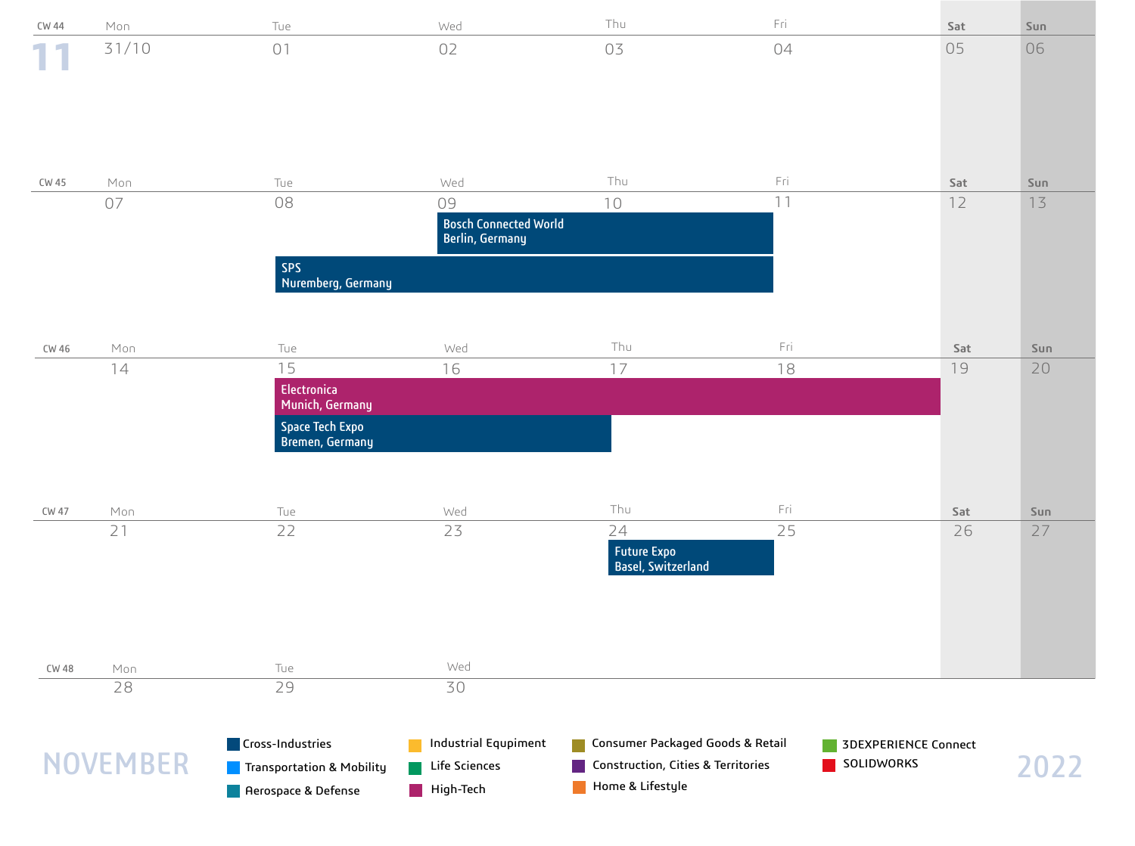| CW 44 | Mon             | Tue                                           | Wed                                          | Thu                                                                    | Fri |                                    | Sat | Sun  |
|-------|-----------------|-----------------------------------------------|----------------------------------------------|------------------------------------------------------------------------|-----|------------------------------------|-----|------|
|       | 31/10           | 01                                            | 02                                           | 03                                                                     | 04  |                                    | 05  | 06   |
|       |                 |                                               |                                              |                                                                        |     |                                    |     |      |
|       |                 |                                               |                                              |                                                                        |     |                                    |     |      |
|       |                 |                                               |                                              |                                                                        |     |                                    |     |      |
|       |                 |                                               |                                              |                                                                        |     |                                    |     |      |
| CW 45 | Mon             | Tue                                           | Wed                                          | Thu                                                                    | Fri |                                    | Sat | Sun  |
|       | 07              | 08                                            | 09<br><b>Bosch Connected World</b>           | 10                                                                     | 11  |                                    | 12  | 13   |
|       |                 |                                               | <b>Berlin, Germany</b>                       |                                                                        |     |                                    |     |      |
|       |                 | <b>SPS</b>                                    |                                              |                                                                        |     |                                    |     |      |
|       |                 | Nuremberg, Germany                            |                                              |                                                                        |     |                                    |     |      |
|       |                 |                                               |                                              |                                                                        |     |                                    |     |      |
| CW 46 | Mon             | Tue                                           | Wed                                          | Thu                                                                    | Fri |                                    | Sat | Sun  |
|       | 14              | 15                                            | 16                                           | 17                                                                     | 18  |                                    | 19  | 20   |
|       |                 | Electronica<br>Munich, Germany                |                                              |                                                                        |     |                                    |     |      |
|       |                 | Space Tech Expo<br><b>Bremen, Germany</b>     |                                              |                                                                        |     |                                    |     |      |
|       |                 |                                               |                                              |                                                                        |     |                                    |     |      |
|       |                 |                                               |                                              |                                                                        |     |                                    |     |      |
| CW 47 | Mon             | Tue                                           | Wed                                          | Thu                                                                    | Fri |                                    | Sat | Sun  |
|       | 21              | 22                                            | 23                                           | 24                                                                     | 25  |                                    | 26  | 27   |
|       |                 |                                               |                                              | <b>Future Expo</b><br><b>Basel, Switzerland</b>                        |     |                                    |     |      |
|       |                 |                                               |                                              |                                                                        |     |                                    |     |      |
|       |                 |                                               |                                              |                                                                        |     |                                    |     |      |
|       |                 |                                               |                                              |                                                                        |     |                                    |     |      |
| CW 48 | Mon             | Tue                                           | Wed                                          |                                                                        |     |                                    |     |      |
|       | 28              | 29                                            | 30                                           |                                                                        |     |                                    |     |      |
|       |                 |                                               |                                              |                                                                        |     |                                    |     |      |
|       | <b>NOVEMBER</b> | Cross-Industries<br>Transportation & Mobility | <b>Industrial Equpiment</b><br>Life Sciences | Consumer Packaged Goods & Retail<br>Construction, Cities & Territories |     | 3DEXPERIENCE Connect<br>SOLIDWORKS |     |      |
|       |                 | Rerospace & Defense                           | High-Tech                                    | Home & Lifestyle                                                       |     |                                    |     | 2022 |
|       |                 |                                               |                                              |                                                                        |     |                                    |     |      |